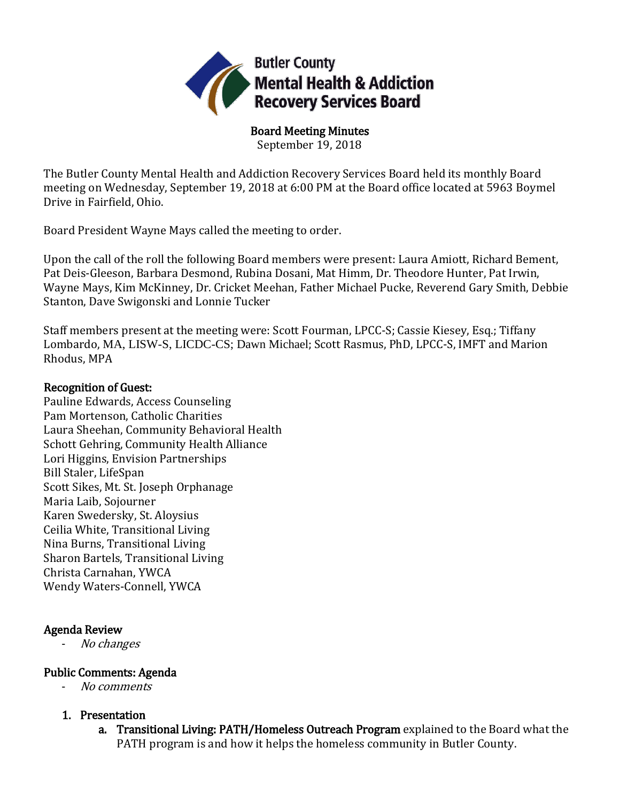

Board Meeting Minutes September 19, 2018

The Butler County Mental Health and Addiction Recovery Services Board held its monthly Board meeting on Wednesday, September 19, 2018 at 6:00 PM at the Board office located at 5963 Boymel Drive in Fairfield, Ohio.

Board President Wayne Mays called the meeting to order.

Upon the call of the roll the following Board members were present: Laura Amiott, Richard Bement, Pat Deis-Gleeson, Barbara Desmond, Rubina Dosani, Mat Himm, Dr. Theodore Hunter, Pat Irwin, Wayne Mays, Kim McKinney, Dr. Cricket Meehan, Father Michael Pucke, Reverend Gary Smith, Debbie Stanton, Dave Swigonski and Lonnie Tucker

Staff members present at the meeting were: Scott Fourman, LPCC-S; Cassie Kiesey, Esq.; Tiffany Lombardo, MA, LISW-S, LICDC-CS; Dawn Michael; Scott Rasmus, PhD, LPCC-S, IMFT and Marion Rhodus, MPA

## Recognition of Guest:

Pauline Edwards, Access Counseling Pam Mortenson, Catholic Charities Laura Sheehan, Community Behavioral Health Schott Gehring, Community Health Alliance Lori Higgins, Envision Partnerships Bill Staler, LifeSpan Scott Sikes, Mt. St. Joseph Orphanage Maria Laib, Sojourner Karen Swedersky, St. Aloysius Ceilia White, Transitional Living Nina Burns, Transitional Living Sharon Bartels, Transitional Living Christa Carnahan, YWCA Wendy Waters-Connell, YWCA

# Agenda Review

- No changes

# Public Comments: Agenda

- No comments

# 1. Presentation

a. Transitional Living: PATH/Homeless Outreach Program explained to the Board what the PATH program is and how it helps the homeless community in Butler County.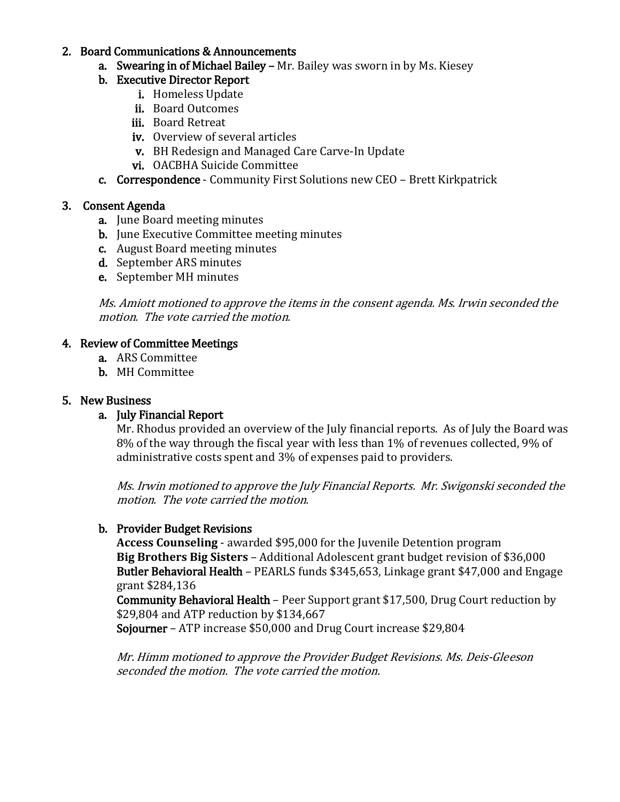#### 2. Board Communications & Announcements

- a. Swearing in of Michael Bailey Mr. Bailey was sworn in by Ms. Kiesey
- b. Executive Director Report
	- i. Homeless Update
	- ii. Board Outcomes
	- iii. Board Retreat
	- iv. Overview of several articles
	- v. BH Redesign and Managed Care Carve-In Update
	- vi. OACBHA Suicide Committee
- c. Correspondence Community First Solutions new CEO Brett Kirkpatrick

## 3. Consent Agenda

- a. June Board meeting minutes
- **b.** June Executive Committee meeting minutes
- c. August Board meeting minutes
- d. September ARS minutes
- e. September MH minutes

Ms. Amiott motioned to approve the items in the consent agenda. Ms. Irwin seconded the motion. The vote carried the motion.

### 4. Review of Committee Meetings

- a. ARS Committee
- b. MH Committee

## 5. New Business

### a. July Financial Report

Mr. Rhodus provided an overview of the July financial reports. As of July the Board was 8% of the way through the fiscal year with less than 1% of revenues collected, 9% of administrative costs spent and 3% of expenses paid to providers.

Ms. Irwin motioned to approve the July Financial Reports. Mr. Swigonski seconded the motion. The vote carried the motion.

# b. Provider Budget Revisions

**Access Counseling** - awarded \$95,000 for the Juvenile Detention program **Big Brothers Big Sisters** – Additional Adolescent grant budget revision of \$36,000 Butler Behavioral Health – PEARLS funds \$345,653, Linkage grant \$47,000 and Engage grant \$284,136

Community Behavioral Health – Peer Support grant \$17,500, Drug Court reduction by \$29,804 and ATP reduction by \$134,667

Sojourner – ATP increase \$50,000 and Drug Court increase \$29,804

Mr. Himm motioned to approve the Provider Budget Revisions. Ms. Deis-Gleeson seconded the motion. The vote carried the motion.